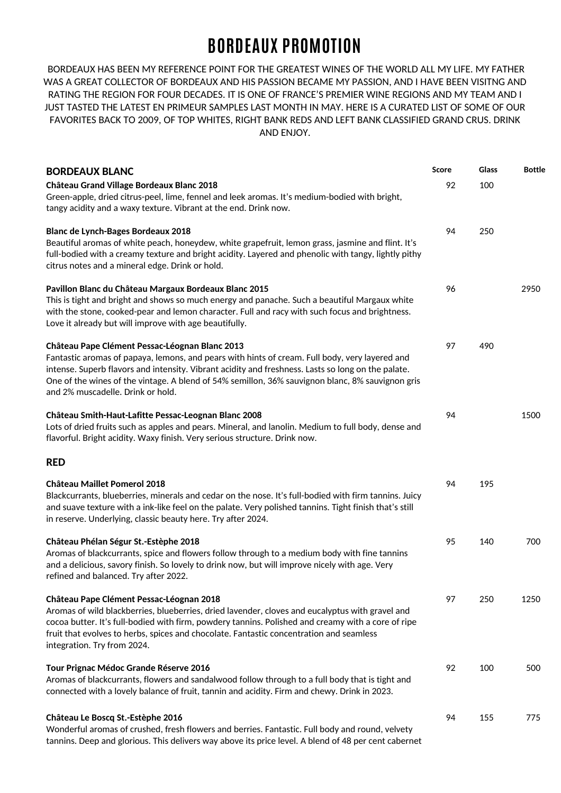## **BORDEAUX PROMOTION**

BORDEAUX HAS BEEN MY REFERENCE POINT FOR THE GREATEST WINES OF THE WORLD ALL MY LIFE. MY FATHER WAS A GREAT COLLECTOR OF BORDEAUX AND HIS PASSION BECAME MY PASSION, AND I HAVE BEEN VISITNG AND RATING THE REGION FOR FOUR DECADES. IT IS ONE OF FRANCE'S PREMIER WINE REGIONS AND MY TEAM AND I JUST TASTED THE LATEST EN PRIMEUR SAMPLES LAST MONTH IN MAY. HERE IS A CURATED LIST OF SOME OF OUR FAVORITES BACK TO 2009, OF TOP WHITES, RIGHT BANK REDS AND LEFT BANK CLASSIFIED GRAND CRUS. DRINK AND ENJOY.

| <b>BORDEAUX BLANC</b><br>Château Grand Village Bordeaux Blanc 2018<br>Green-apple, dried citrus-peel, lime, fennel and leek aromas. It's medium-bodied with bright,<br>tangy acidity and a waxy texture. Vibrant at the end. Drink now.                                                                                                                                                         | Score<br>92 | Glass<br>100 | <b>Bottle</b> |
|-------------------------------------------------------------------------------------------------------------------------------------------------------------------------------------------------------------------------------------------------------------------------------------------------------------------------------------------------------------------------------------------------|-------------|--------------|---------------|
| <b>Blanc de Lynch-Bages Bordeaux 2018</b><br>Beautiful aromas of white peach, honeydew, white grapefruit, lemon grass, jasmine and flint. It's<br>full-bodied with a creamy texture and bright acidity. Layered and phenolic with tangy, lightly pithy<br>citrus notes and a mineral edge. Drink or hold.                                                                                       | 94          | 250          |               |
| Pavillon Blanc du Château Margaux Bordeaux Blanc 2015<br>This is tight and bright and shows so much energy and panache. Such a beautiful Margaux white<br>with the stone, cooked-pear and lemon character. Full and racy with such focus and brightness.<br>Love it already but will improve with age beautifully.                                                                              | 96          |              | 2950          |
| Château Pape Clément Pessac-Léognan Blanc 2013<br>Fantastic aromas of papaya, lemons, and pears with hints of cream. Full body, very layered and<br>intense. Superb flavors and intensity. Vibrant acidity and freshness. Lasts so long on the palate.<br>One of the wines of the vintage. A blend of 54% semillon, 36% sauvignon blanc, 8% sauvignon gris<br>and 2% muscadelle. Drink or hold. | 97          | 490          |               |
| Château Smith-Haut-Lafitte Pessac-Leognan Blanc 2008<br>Lots of dried fruits such as apples and pears. Mineral, and lanolin. Medium to full body, dense and<br>flavorful. Bright acidity. Waxy finish. Very serious structure. Drink now.                                                                                                                                                       | 94          |              | 1500          |
| <b>RED</b>                                                                                                                                                                                                                                                                                                                                                                                      |             |              |               |
| <b>Château Maillet Pomerol 2018</b><br>Blackcurrants, blueberries, minerals and cedar on the nose. It's full-bodied with firm tannins. Juicy<br>and suave texture with a ink-like feel on the palate. Very polished tannins. Tight finish that's still<br>in reserve. Underlying, classic beauty here. Try after 2024.                                                                          | 94          | 195          |               |
| Château Phélan Ségur St.-Estèphe 2018<br>Aromas of blackcurrants, spice and flowers follow through to a medium body with fine tannins<br>and a delicious, savory finish. So lovely to drink now, but will improve nicely with age. Very<br>refined and balanced. Try after 2022.                                                                                                                | 95          | 140          | 700           |
| Château Pape Clément Pessac-Léognan 2018<br>Aromas of wild blackberries, blueberries, dried lavender, cloves and eucalyptus with gravel and<br>cocoa butter. It's full-bodied with firm, powdery tannins. Polished and creamy with a core of ripe<br>fruit that evolves to herbs, spices and chocolate. Fantastic concentration and seamless<br>integration. Try from 2024.                     | 97          | 250          | 1250          |
| Tour Prignac Médoc Grande Réserve 2016<br>Aromas of blackcurrants, flowers and sandalwood follow through to a full body that is tight and<br>connected with a lovely balance of fruit, tannin and acidity. Firm and chewy. Drink in 2023.                                                                                                                                                       | 92          | 100          | 500           |
| Château Le Boscq St.-Estèphe 2016<br>Wonderful aromas of crushed, fresh flowers and berries. Fantastic. Full body and round, velvety<br>tannins. Deep and glorious. This delivers way above its price level. A blend of 48 per cent cabernet                                                                                                                                                    | 94          | 155          | 775           |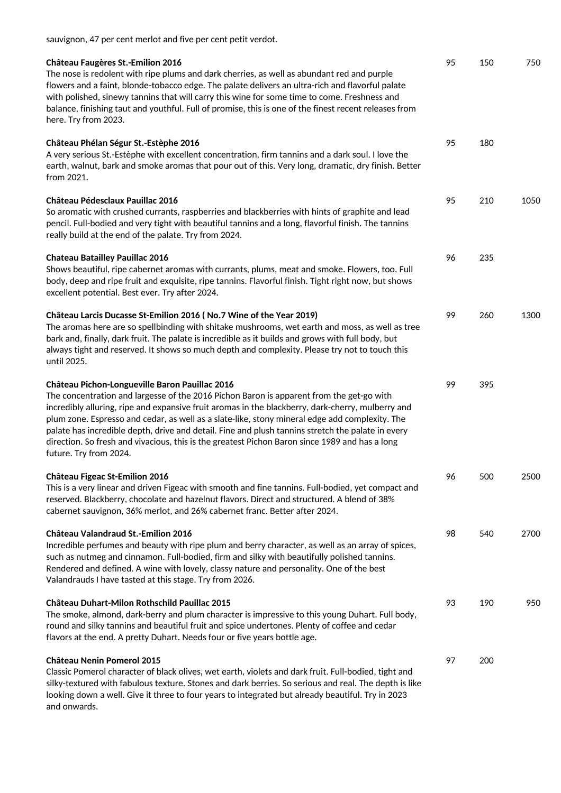sauvignon, 47 per cent merlot and five per cent petit verdot.

| <b>Château Faugères St.-Emilion 2016</b><br>The nose is redolent with ripe plums and dark cherries, as well as abundant red and purple<br>flowers and a faint, blonde-tobacco edge. The palate delivers an ultra-rich and flavorful palate<br>with polished, sinewy tannins that will carry this wine for some time to come. Freshness and<br>balance, finishing taut and youthful. Full of promise, this is one of the finest recent releases from<br>here. Try from 2023.                                                                                                        | 95 | 150 | 750  |
|------------------------------------------------------------------------------------------------------------------------------------------------------------------------------------------------------------------------------------------------------------------------------------------------------------------------------------------------------------------------------------------------------------------------------------------------------------------------------------------------------------------------------------------------------------------------------------|----|-----|------|
| Château Phélan Ségur St.-Estèphe 2016<br>A very serious St.-Estèphe with excellent concentration, firm tannins and a dark soul. I love the<br>earth, walnut, bark and smoke aromas that pour out of this. Very long, dramatic, dry finish. Better<br>from 2021.                                                                                                                                                                                                                                                                                                                    | 95 | 180 |      |
| <b>Château Pédesclaux Pauillac 2016</b><br>So aromatic with crushed currants, raspberries and blackberries with hints of graphite and lead<br>pencil. Full-bodied and very tight with beautiful tannins and a long, flavorful finish. The tannins<br>really build at the end of the palate. Try from 2024.                                                                                                                                                                                                                                                                         | 95 | 210 | 1050 |
| <b>Chateau Batailley Pauillac 2016</b><br>Shows beautiful, ripe cabernet aromas with currants, plums, meat and smoke. Flowers, too. Full<br>body, deep and ripe fruit and exquisite, ripe tannins. Flavorful finish. Tight right now, but shows<br>excellent potential. Best ever. Try after 2024.                                                                                                                                                                                                                                                                                 | 96 | 235 |      |
| Château Larcis Ducasse St-Emilion 2016 (No.7 Wine of the Year 2019)<br>The aromas here are so spellbinding with shitake mushrooms, wet earth and moss, as well as tree<br>bark and, finally, dark fruit. The palate is incredible as it builds and grows with full body, but<br>always tight and reserved. It shows so much depth and complexity. Please try not to touch this<br>until 2025.                                                                                                                                                                                      | 99 | 260 | 1300 |
| Château Pichon-Longueville Baron Pauillac 2016<br>The concentration and largesse of the 2016 Pichon Baron is apparent from the get-go with<br>incredibly alluring, ripe and expansive fruit aromas in the blackberry, dark-cherry, mulberry and<br>plum zone. Espresso and cedar, as well as a slate-like, stony mineral edge add complexity. The<br>palate has incredible depth, drive and detail. Fine and plush tannins stretch the palate in every<br>direction. So fresh and vivacious, this is the greatest Pichon Baron since 1989 and has a long<br>future. Try from 2024. | 99 | 395 |      |
| <b>Château Figeac St-Emilion 2016</b><br>This is a very linear and driven Figeac with smooth and fine tannins. Full-bodied, yet compact and<br>reserved. Blackberry, chocolate and hazelnut flavors. Direct and structured. A blend of 38%<br>cabernet sauvignon, 36% merlot, and 26% cabernet franc. Better after 2024.                                                                                                                                                                                                                                                           | 96 | 500 | 2500 |
| Château Valandraud St.-Emilion 2016<br>Incredible perfumes and beauty with ripe plum and berry character, as well as an array of spices,<br>such as nutmeg and cinnamon. Full-bodied, firm and silky with beautifully polished tannins.<br>Rendered and defined. A wine with lovely, classy nature and personality. One of the best<br>Valandrauds I have tasted at this stage. Try from 2026.                                                                                                                                                                                     | 98 | 540 | 2700 |
| Château Duhart-Milon Rothschild Pauillac 2015<br>The smoke, almond, dark-berry and plum character is impressive to this young Duhart. Full body,<br>round and silky tannins and beautiful fruit and spice undertones. Plenty of coffee and cedar<br>flavors at the end. A pretty Duhart. Needs four or five years bottle age.                                                                                                                                                                                                                                                      | 93 | 190 | 950  |
| <b>Château Nenin Pomerol 2015</b><br>Classic Pomerol character of black olives, wet earth, violets and dark fruit. Full-bodied, tight and<br>silky-textured with fabulous texture. Stones and dark berries. So serious and real. The depth is like<br>looking down a well. Give it three to four years to integrated but already beautiful. Try in 2023<br>and onwards.                                                                                                                                                                                                            | 97 | 200 |      |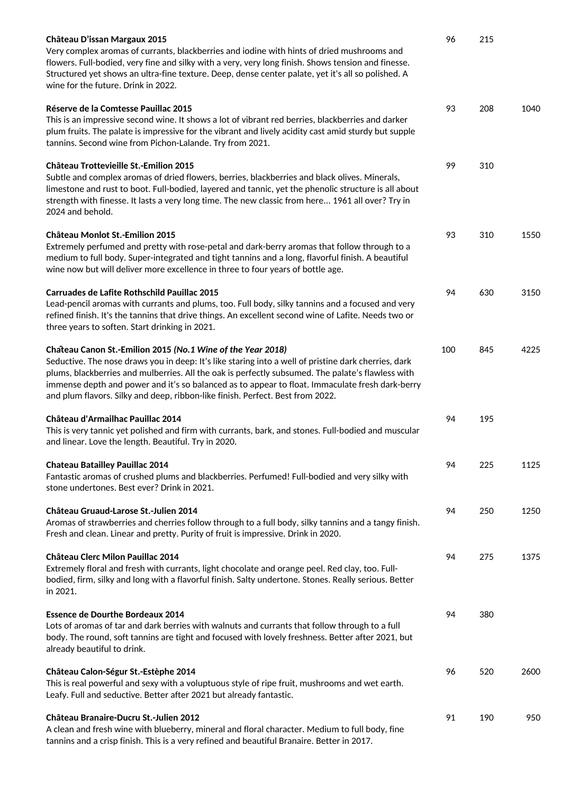| Château D'issan Margaux 2015<br>Very complex aromas of currants, blackberries and iodine with hints of dried mushrooms and<br>flowers. Full-bodied, very fine and silky with a very, very long finish. Shows tension and finesse.<br>Structured yet shows an ultra-fine texture. Deep, dense center palate, yet it's all so polished. A<br>wine for the future. Drink in 2022.                                                                                | 96  | 215 |      |
|---------------------------------------------------------------------------------------------------------------------------------------------------------------------------------------------------------------------------------------------------------------------------------------------------------------------------------------------------------------------------------------------------------------------------------------------------------------|-----|-----|------|
| Réserve de la Comtesse Pauillac 2015<br>This is an impressive second wine. It shows a lot of vibrant red berries, blackberries and darker<br>plum fruits. The palate is impressive for the vibrant and lively acidity cast amid sturdy but supple<br>tannins. Second wine from Pichon-Lalande. Try from 2021.                                                                                                                                                 | 93  | 208 | 1040 |
| <b>Château Trottevieille St.-Emilion 2015</b><br>Subtle and complex aromas of dried flowers, berries, blackberries and black olives. Minerals,<br>limestone and rust to boot. Full-bodied, layered and tannic, yet the phenolic structure is all about<br>strength with finesse. It lasts a very long time. The new classic from here 1961 all over? Try in<br>2024 and behold.                                                                               | 99  | 310 |      |
| <b>Château Monlot St.-Emilion 2015</b><br>Extremely perfumed and pretty with rose-petal and dark-berry aromas that follow through to a<br>medium to full body. Super-integrated and tight tannins and a long, flavorful finish. A beautiful<br>wine now but will deliver more excellence in three to four years of bottle age.                                                                                                                                | 93  | 310 | 1550 |
| <b>Carruades de Lafite Rothschild Pauillac 2015</b><br>Lead-pencil aromas with currants and plums, too. Full body, silky tannins and a focused and very<br>refined finish. It's the tannins that drive things. An excellent second wine of Lafite. Needs two or<br>three years to soften. Start drinking in 2021.                                                                                                                                             | 94  | 630 | 3150 |
| Chateau Canon St.-Emilion 2015 (No.1 Wine of the Year 2018)<br>Seductive. The nose draws you in deep: It's like staring into a well of pristine dark cherries, dark<br>plums, blackberries and mulberries. All the oak is perfectly subsumed. The palate's flawless with<br>immense depth and power and it's so balanced as to appear to float. Immaculate fresh dark-berry<br>and plum flavors. Silky and deep, ribbon-like finish. Perfect. Best from 2022. | 100 | 845 | 4225 |
| Château d'Armailhac Pauillac 2014<br>This is very tannic yet polished and firm with currants, bark, and stones. Full-bodied and muscular<br>and linear. Love the length. Beautiful. Try in 2020.                                                                                                                                                                                                                                                              | 94  | 195 |      |
| <b>Chateau Batailley Pauillac 2014</b><br>Fantastic aromas of crushed plums and blackberries. Perfumed! Full-bodied and very silky with<br>stone undertones. Best ever? Drink in 2021.                                                                                                                                                                                                                                                                        | 94  | 225 | 1125 |
| Château Gruaud-Larose St.-Julien 2014<br>Aromas of strawberries and cherries follow through to a full body, silky tannins and a tangy finish.<br>Fresh and clean. Linear and pretty. Purity of fruit is impressive. Drink in 2020.                                                                                                                                                                                                                            | 94  | 250 | 1250 |
| <b>Château Clerc Milon Pauillac 2014</b><br>Extremely floral and fresh with currants, light chocolate and orange peel. Red clay, too. Full-<br>bodied, firm, silky and long with a flavorful finish. Salty undertone. Stones. Really serious. Better<br>in 2021.                                                                                                                                                                                              | 94  | 275 | 1375 |
| <b>Essence de Dourthe Bordeaux 2014</b><br>Lots of aromas of tar and dark berries with walnuts and currants that follow through to a full<br>body. The round, soft tannins are tight and focused with lovely freshness. Better after 2021, but<br>already beautiful to drink.                                                                                                                                                                                 | 94  | 380 |      |
| Château Calon-Ségur St.-Estèphe 2014<br>This is real powerful and sexy with a voluptuous style of ripe fruit, mushrooms and wet earth.<br>Leafy. Full and seductive. Better after 2021 but already fantastic.                                                                                                                                                                                                                                                 | 96  | 520 | 2600 |
| Château Branaire-Ducru St.-Julien 2012<br>A clean and fresh wine with blueberry, mineral and floral character. Medium to full body, fine<br>tannins and a crisp finish. This is a very refined and beautiful Branaire. Better in 2017.                                                                                                                                                                                                                        | 91  | 190 | 950  |